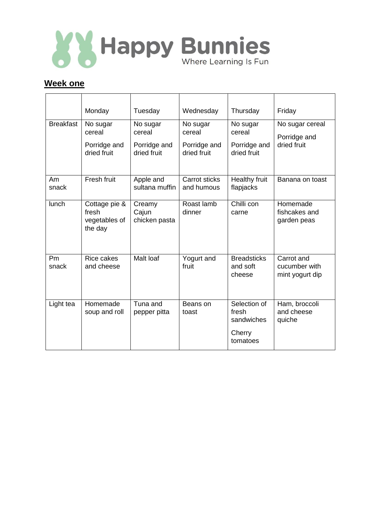

## **Week one**

|                  | Monday                                             | Tuesday                                           | Wednesday                                         | Thursday                                                  | Friday                                         |
|------------------|----------------------------------------------------|---------------------------------------------------|---------------------------------------------------|-----------------------------------------------------------|------------------------------------------------|
| <b>Breakfast</b> | No sugar<br>cereal<br>Porridge and<br>dried fruit  | No sugar<br>cereal<br>Porridge and<br>dried fruit | No sugar<br>cereal<br>Porridge and<br>dried fruit | No sugar<br>cereal<br>Porridge and<br>dried fruit         | No sugar cereal<br>Porridge and<br>dried fruit |
| Am<br>snack      | Fresh fruit                                        | Apple and<br>sultana muffin                       | Carrot sticks<br>and humous                       | Healthy fruit<br>flapjacks                                | Banana on toast                                |
| <b>lunch</b>     | Cottage pie &<br>fresh<br>vegetables of<br>the day | Creamy<br>Cajun<br>chicken pasta                  | Roast lamb<br>dinner                              | Chilli con<br>carne                                       | Homemade<br>fishcakes and<br>garden peas       |
| Pm<br>snack      | <b>Rice cakes</b><br>and cheese                    | Malt loaf                                         | Yogurt and<br>fruit                               | <b>Breadsticks</b><br>and soft<br>cheese                  | Carrot and<br>cucumber with<br>mint yogurt dip |
| Light tea        | Homemade<br>soup and roll                          | Tuna and<br>pepper pitta                          | Beans on<br>toast                                 | Selection of<br>fresh<br>sandwiches<br>Cherry<br>tomatoes | Ham, broccoli<br>and cheese<br>quiche          |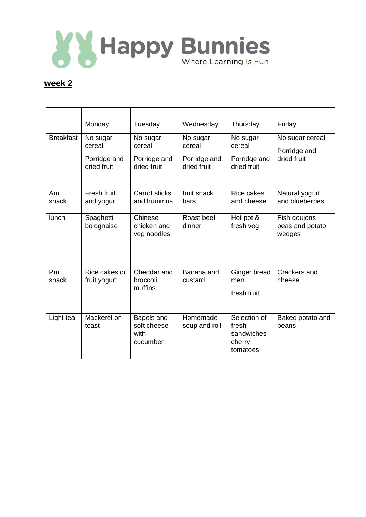

## **week 2**

|                  | Monday                                            | Tuesday                                           | Wednesday                                         | Thursday                                                  | Friday                                         |
|------------------|---------------------------------------------------|---------------------------------------------------|---------------------------------------------------|-----------------------------------------------------------|------------------------------------------------|
| <b>Breakfast</b> | No sugar<br>cereal<br>Porridge and<br>dried fruit | No sugar<br>cereal<br>Porridge and<br>dried fruit | No sugar<br>cereal<br>Porridge and<br>dried fruit | No sugar<br>cereal<br>Porridge and<br>dried fruit         | No sugar cereal<br>Porridge and<br>dried fruit |
| Am<br>snack      | Fresh fruit<br>and yogurt                         | Carrot sticks<br>and hummus                       | fruit snack<br>bars                               | Rice cakes<br>and cheese                                  | Natural yogurt<br>and blueberries              |
| lunch            | Spaghetti<br>bolognaise                           | Chinese<br>chicken and<br>veg noodles             | Roast beef<br>dinner                              | Hot pot &<br>fresh veg                                    | Fish goujons<br>peas and potato<br>wedges      |
| Pm<br>snack      | Rice cakes or<br>fruit yogurt                     | Cheddar and<br>broccoli<br>muffins                | Banana and<br>custard                             | Ginger bread<br>men<br>fresh fruit                        | Crackers and<br>cheese                         |
| Light tea        | Mackerel on<br>toast                              | Bagels and<br>soft cheese<br>with<br>cucumber     | Homemade<br>soup and roll                         | Selection of<br>fresh<br>sandwiches<br>cherry<br>tomatoes | Baked potato and<br>beans                      |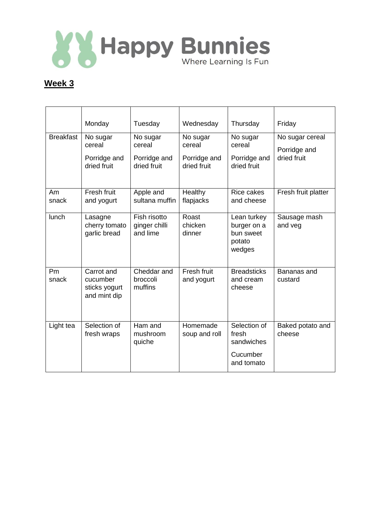

## **Week 3**

|                  | Monday                                                  | Tuesday                                           | Wednesday                                         | Thursday                                                      | Friday                                         |
|------------------|---------------------------------------------------------|---------------------------------------------------|---------------------------------------------------|---------------------------------------------------------------|------------------------------------------------|
| <b>Breakfast</b> | No sugar<br>cereal<br>Porridge and<br>dried fruit       | No sugar<br>cereal<br>Porridge and<br>dried fruit | No sugar<br>cereal<br>Porridge and<br>dried fruit | No sugar<br>cereal<br>Porridge and<br>dried fruit             | No sugar cereal<br>Porridge and<br>dried fruit |
| Am<br>snack      | Fresh fruit<br>and yogurt                               | Apple and<br>sultana muffin                       | Healthy<br>flapjacks                              | <b>Rice cakes</b><br>and cheese                               | Fresh fruit platter                            |
| <b>lunch</b>     | Lasagne<br>cherry tomato<br>garlic bread                | Fish risotto<br>ginger chilli<br>and lime         | Roast<br>chicken<br>dinner                        | Lean turkey<br>burger on a<br>bun sweet<br>potato<br>wedges   | Sausage mash<br>and veg                        |
| Pm<br>snack      | Carrot and<br>cucumber<br>sticks yogurt<br>and mint dip | Cheddar and<br>broccoli<br>muffins                | Fresh fruit<br>and yogurt                         | <b>Breadsticks</b><br>and cream<br>cheese                     | Bananas and<br>custard                         |
| Light tea        | Selection of<br>fresh wraps                             | Ham and<br>mushroom<br>quiche                     | Homemade<br>soup and roll                         | Selection of<br>fresh<br>sandwiches<br>Cucumber<br>and tomato | Baked potato and<br>cheese                     |